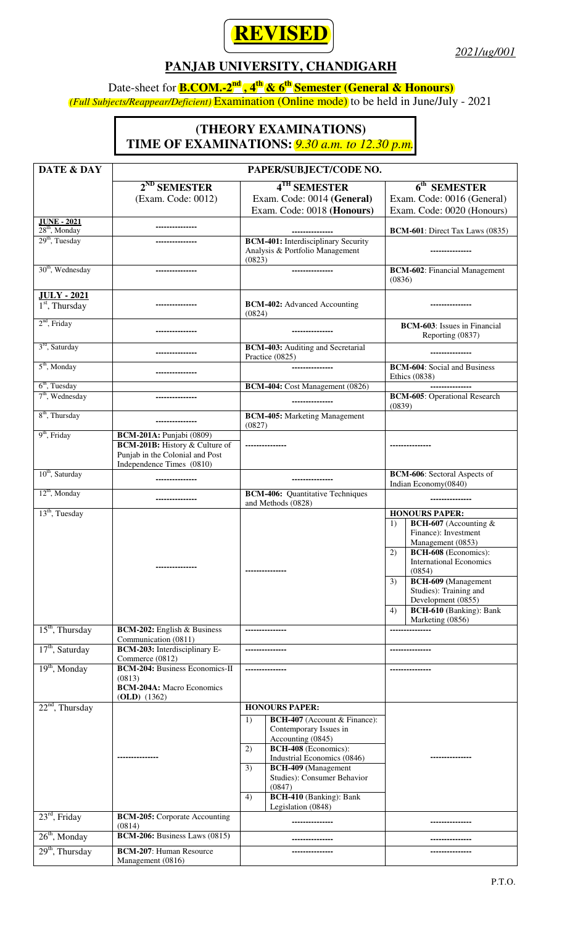

*2021/ug/001*

## **PANJAB UNIVERSITY, CHANDIGARH**

## Date-sheet for **B.COM.-2nd , 4th & 6th Semester (General & Honours)**

*(Full Subjects/Reappear/Deficient)* Examination (Online mode) to be held in June/July - 2021

## **(THEORY EXAMINATIONS) TIME OF EXAMINATIONS:** *9.30 a.m. to 12.30 p.m.*

| <b>DATE &amp; DAY</b>                  | PAPER/SUBJECT/CODE NO.                                                                                                            |                                                                                                                                                                                                                                                                                                             |                                                                                                                                                                                                                                                                                                                                    |
|----------------------------------------|-----------------------------------------------------------------------------------------------------------------------------------|-------------------------------------------------------------------------------------------------------------------------------------------------------------------------------------------------------------------------------------------------------------------------------------------------------------|------------------------------------------------------------------------------------------------------------------------------------------------------------------------------------------------------------------------------------------------------------------------------------------------------------------------------------|
|                                        | $2^{ND}$ SEMESTER                                                                                                                 | 4TH SEMESTER                                                                                                                                                                                                                                                                                                | 6 <sup>th</sup> SEMESTER                                                                                                                                                                                                                                                                                                           |
|                                        | (Exam. Code: 0012)                                                                                                                | Exam. Code: 0014 (General)                                                                                                                                                                                                                                                                                  | Exam. Code: 0016 (General)                                                                                                                                                                                                                                                                                                         |
|                                        |                                                                                                                                   | Exam. Code: 0018 (Honours)                                                                                                                                                                                                                                                                                  | Exam. Code: 0020 (Honours)                                                                                                                                                                                                                                                                                                         |
| <b>JUNE - 2021</b><br>$28th$ , Monday  |                                                                                                                                   |                                                                                                                                                                                                                                                                                                             |                                                                                                                                                                                                                                                                                                                                    |
| $29th$ , Tuesday                       |                                                                                                                                   | <b>BCM-401:</b> Interdisciplinary Security                                                                                                                                                                                                                                                                  | BCM-601: Direct Tax Laws (0835)                                                                                                                                                                                                                                                                                                    |
|                                        |                                                                                                                                   | Analysis & Portfolio Management<br>(0823)                                                                                                                                                                                                                                                                   |                                                                                                                                                                                                                                                                                                                                    |
| 30 <sup>th</sup> , Wednesday           | ---------------                                                                                                                   |                                                                                                                                                                                                                                                                                                             | <b>BCM-602:</b> Financial Management<br>(0836)                                                                                                                                                                                                                                                                                     |
| <b>JULY - 2021</b><br>$1st$ , Thursday |                                                                                                                                   | <b>BCM-402:</b> Advanced Accounting<br>(0824)                                                                                                                                                                                                                                                               |                                                                                                                                                                                                                                                                                                                                    |
| $2nd$ , Friday                         |                                                                                                                                   |                                                                                                                                                                                                                                                                                                             | <b>BCM-603</b> : Issues in Financial<br>Reporting (0837)                                                                                                                                                                                                                                                                           |
| $3rd$ , Saturday                       |                                                                                                                                   | <b>BCM-403:</b> Auditing and Secretarial<br>Practice (0825)                                                                                                                                                                                                                                                 |                                                                                                                                                                                                                                                                                                                                    |
| $5th$ , Monday                         |                                                                                                                                   | .                                                                                                                                                                                                                                                                                                           | <b>BCM-604:</b> Social and Business<br>Ethics (0838)                                                                                                                                                                                                                                                                               |
| $6th$ , Tuesday                        |                                                                                                                                   | BCM-404: Cost Management (0826)                                                                                                                                                                                                                                                                             |                                                                                                                                                                                                                                                                                                                                    |
| $7th$ , Wednesday                      | ---------------                                                                                                                   |                                                                                                                                                                                                                                                                                                             | <b>BCM-605:</b> Operational Research<br>(0839)                                                                                                                                                                                                                                                                                     |
| 8 <sup>th</sup> , Thursday             |                                                                                                                                   | <b>BCM-405:</b> Marketing Management<br>(0827)                                                                                                                                                                                                                                                              |                                                                                                                                                                                                                                                                                                                                    |
| $9th$ , Friday                         | <b>BCM-201A:</b> Punjabi (0809)<br>BCM-201B: History & Culture of<br>Punjab in the Colonial and Post<br>Independence Times (0810) |                                                                                                                                                                                                                                                                                                             |                                                                                                                                                                                                                                                                                                                                    |
| 10 <sup>th</sup> , Saturday            |                                                                                                                                   | ------------                                                                                                                                                                                                                                                                                                | <b>BCM-606:</b> Sectoral Aspects of<br>Indian Economy(0840)                                                                                                                                                                                                                                                                        |
| $12th$ , Monday                        |                                                                                                                                   | <b>BCM-406:</b> Quantitative Techniques<br>and Methods (0828)                                                                                                                                                                                                                                               |                                                                                                                                                                                                                                                                                                                                    |
| $13th$ , Tuesday                       | -------------                                                                                                                     | ---------------                                                                                                                                                                                                                                                                                             | <b>HONOURS PAPER:</b><br>BCH-607 (Accounting &<br>1)<br>Finance): Investment<br>Management (0853)<br><b>BCH-608</b> (Economics):<br>2)<br><b>International Economics</b><br>(0854)<br><b>BCH-609</b> (Management<br>3)<br>Studies): Training and<br>Development (0855)<br><b>BCH-610</b> (Banking): Bank<br>4)<br>Marketing (0856) |
| $15th$ , Thursday                      | <b>BCM-202:</b> English & Business<br>Communication (0811)                                                                        | --------------                                                                                                                                                                                                                                                                                              |                                                                                                                                                                                                                                                                                                                                    |
| $17th$ , Saturday                      | BCM-203: Interdisciplinary E-<br>Commerce (0812)                                                                                  |                                                                                                                                                                                                                                                                                                             |                                                                                                                                                                                                                                                                                                                                    |
| $19th$ , Monday                        | <b>BCM-204: Business Economics-II</b><br>(0813)<br><b>BCM-204A: Macro Economics</b><br>$(OLD)$ (1362)                             |                                                                                                                                                                                                                                                                                                             |                                                                                                                                                                                                                                                                                                                                    |
| $22nd$ , Thursday                      | --------------                                                                                                                    | <b>HONOURS PAPER:</b><br>BCH-407 (Account & Finance):<br>1)<br>Contemporary Issues in<br>Accounting (0845)<br>BCH-408 (Economics):<br>2)<br>Industrial Economics (0846)<br>BCH-409 (Management<br>3)<br>Studies): Consumer Behavior<br>(0847)<br><b>BCH-410</b> (Banking): Bank<br>4)<br>Legislation (0848) |                                                                                                                                                                                                                                                                                                                                    |
| $23rd$ , Friday                        | <b>BCM-205:</b> Corporate Accounting<br>(0814)                                                                                    |                                                                                                                                                                                                                                                                                                             |                                                                                                                                                                                                                                                                                                                                    |
| $26th$ , Monday                        | BCM-206: Business Laws (0815)                                                                                                     | .                                                                                                                                                                                                                                                                                                           |                                                                                                                                                                                                                                                                                                                                    |
| $29th$ , Thursday                      | <b>BCM-207: Human Resource</b><br>Management (0816)                                                                               |                                                                                                                                                                                                                                                                                                             |                                                                                                                                                                                                                                                                                                                                    |